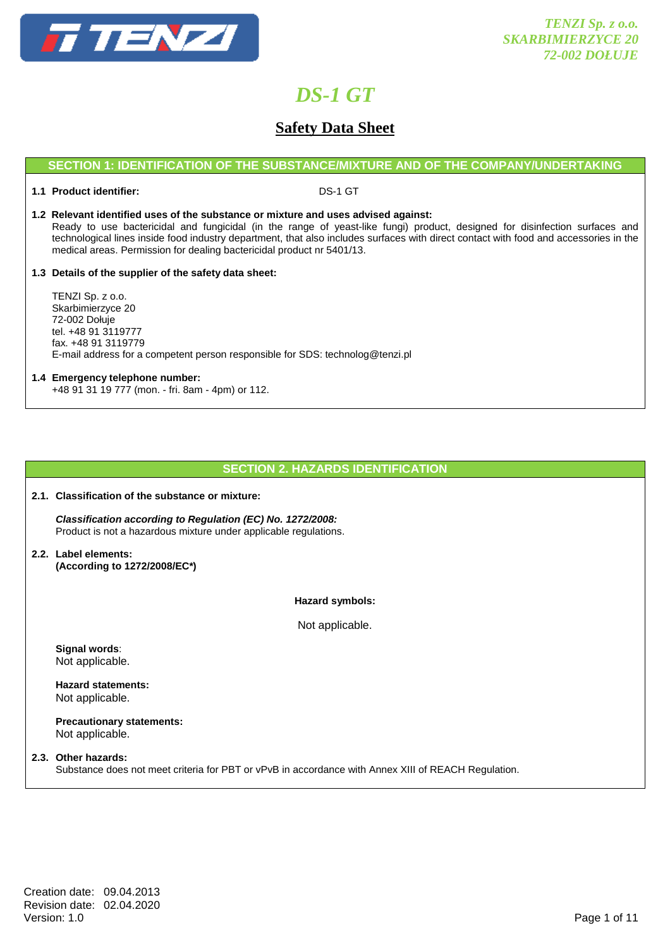

# **Safety Data Sheet**

## **SECTION 1: IDENTIFICATION OF THE SUBSTANCE/MIXTURE AND OF THE COMPANY/UNDERTAKING**

### **1.1 Product identifier:** DS-1 GT

### **1.2 Relevant identified uses of the substance or mixture and uses advised against:**

 Ready to use bactericidal and fungicidal (in the range of yeast-like fungi) product, designed for disinfection surfaces and technological lines inside food industry department, that also includes surfaces with direct contact with food and accessories in the medical areas. Permission for dealing bactericidal product nr 5401/13.

### **1.3 Details of the supplier of the safety data sheet:**

 TENZI Sp. z o.o. Skarbimierzyce 20 72-002 Dołuje tel. +48 91 3119777 fax. +48 91 3119779 E-mail address for a competent person responsible for SDS: technolog@tenzi.pl

## **1.4 Emergency telephone number:**

+48 91 31 19 777 (mon. - fri. 8am - 4pm) or 112.

## **SECTION 2. HAZARDS IDENTIFICATION**

#### **2.1. Classification of the substance or mixture:**

 **Classification according to Regulation (EC) No. 1272/2008:** Product is not a hazardous mixture under applicable regulations.

**2.2. Label elements: (According to 1272/2008/EC\*)** 

### **Hazard symbols:**

Not applicable.

 **Signal words**: Not applicable.

 **Hazard statements:**  Not applicable.

 **Precautionary statements:**  Not applicable.

## **2.3. Other hazards:**

Substance does not meet criteria for PBT or vPvB in accordance with Annex XIII of REACH Regulation.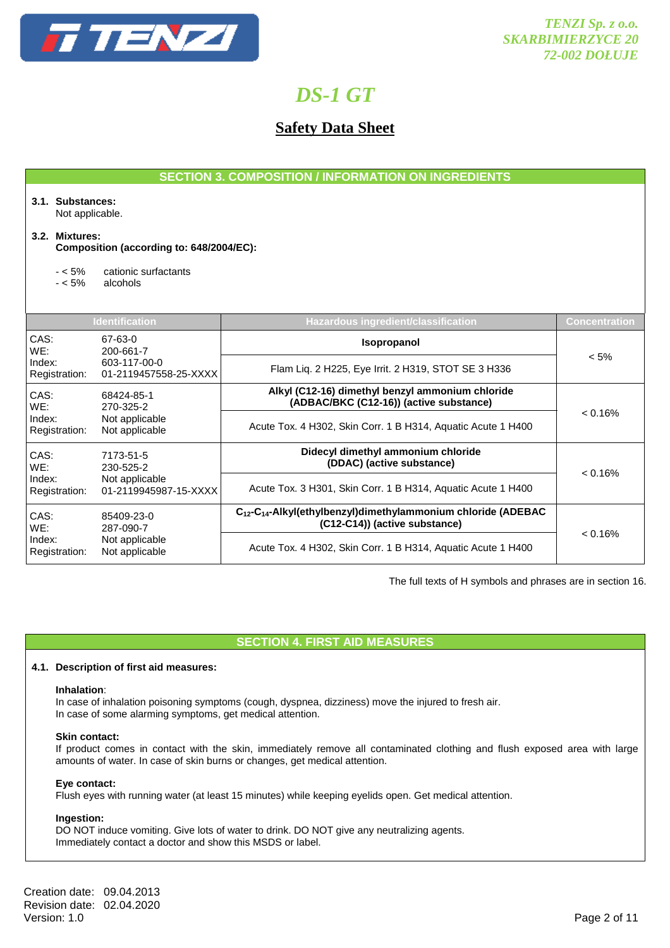

# **Safety Data Sheet**

|                                                                                                       |                                                                                             | <b>SECTION 3. COMPOSITION / INFORMATION ON INGREDIENTS</b>                                                             |               |  |
|-------------------------------------------------------------------------------------------------------|---------------------------------------------------------------------------------------------|------------------------------------------------------------------------------------------------------------------------|---------------|--|
| 3.1. Substances:<br>Not applicable.                                                                   |                                                                                             |                                                                                                                        |               |  |
| 3.2. Mixtures:                                                                                        | Composition (according to: 648/2004/EC):                                                    |                                                                                                                        |               |  |
| $- < 5\%$<br>$- < 5\%$                                                                                | cationic surfactants<br>alcohols                                                            |                                                                                                                        |               |  |
|                                                                                                       | <b>Identification</b>                                                                       | <b>Hazardous ingredient/classification</b>                                                                             | Concentration |  |
| CAS:<br>WE:                                                                                           | 67-63-0<br>200-661-7                                                                        | Isopropanol                                                                                                            |               |  |
| Index:<br>Registration:                                                                               | 603-117-00-0<br>01-2119457558-25-XXXX                                                       | Flam Liq. 2 H225, Eye Irrit. 2 H319, STOT SE 3 H336                                                                    | $< 5\%$       |  |
| CAS:<br>68424-85-1<br>WE:<br>270-325-2<br>Index:<br>Not applicable<br>Not applicable<br>Registration: | Alkyl (C12-16) dimethyl benzyl ammonium chloride<br>(ADBAC/BKC (C12-16)) (active substance) |                                                                                                                        |               |  |
|                                                                                                       | Acute Tox. 4 H302, Skin Corr. 1 B H314, Aquatic Acute 1 H400                                | < 0.16%                                                                                                                |               |  |
| CAS:<br>7173-51-5<br>WE:<br>230-525-2                                                                 |                                                                                             | Didecyl dimethyl ammonium chloride<br>(DDAC) (active substance)                                                        |               |  |
| Index:<br>Registration:                                                                               | Not applicable<br>01-2119945987-15-XXXX                                                     | Acute Tox. 3 H301, Skin Corr. 1 B H314, Aquatic Acute 1 H400                                                           | < 0.16%       |  |
| CAS:<br>85409-23-0<br>WE:<br>287-090-7<br>Not applicable<br>Index:<br>Registration:<br>Not applicable |                                                                                             | C <sub>12</sub> -C <sub>14</sub> -Alkyl(ethylbenzyl)dimethylammonium chloride (ADEBAC<br>(C12-C14)) (active substance) |               |  |
|                                                                                                       |                                                                                             | Acute Tox. 4 H302, Skin Corr. 1 B H314, Aquatic Acute 1 H400                                                           | < 0.16%       |  |

The full texts of H symbols and phrases are in section 16.

# **SECTION 4. FIRST AID MEASURES**

### **4.1. Description of first aid measures:**

### **Inhalation**:

In case of inhalation poisoning symptoms (cough, dyspnea, dizziness) move the injured to fresh air. In case of some alarming symptoms, get medical attention.

### **Skin contact:**

If product comes in contact with the skin, immediately remove all contaminated clothing and flush exposed area with large amounts of water. In case of skin burns or changes, get medical attention.

### **Eye contact:**

Flush eyes with running water (at least 15 minutes) while keeping eyelids open. Get medical attention.

# **Ingestion:**

DO NOT induce vomiting. Give lots of water to drink. DO NOT give any neutralizing agents. Immediately contact a doctor and show this MSDS or label.

Creation date: 09.04.2013 Revision date: 02.04.2020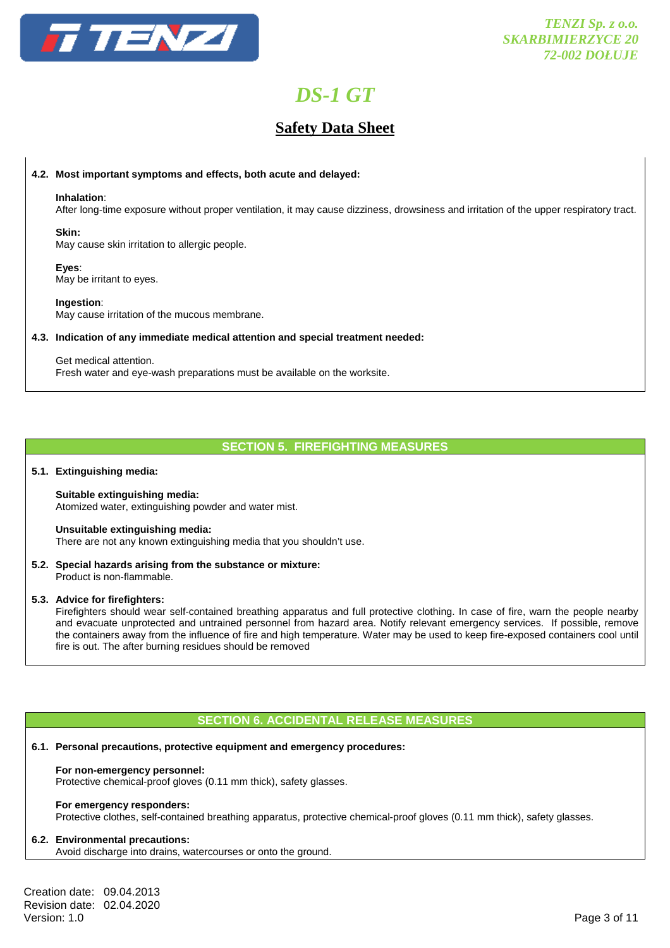

# **Safety Data Sheet**

### **4.2. Most important symptoms and effects, both acute and delayed:**

#### **Inhalation**:

After long-time exposure without proper ventilation, it may cause dizziness, drowsiness and irritation of the upper respiratory tract.

### **Skin:**

May cause skin irritation to allergic people.

### **Eyes**:

May be irritant to eyes.

### **Ingestion**:

May cause irritation of the mucous membrane.

### **4.3. Indication of any immediate medical attention and special treatment needed:**

#### Get medical attention.

Fresh water and eye-wash preparations must be available on the worksite.

## **SECTION 5. FIREFIGHTING MEASURES**

### **5.1. Extinguishing media:**

#### **Suitable extinguishing media:**  Atomized water, extinguishing powder and water mist.

### **Unsuitable extinguishing media:**

There are not any known extinguishing media that you shouldn't use.

#### **5.2. Special hazards arising from the substance or mixture:**  Product is non-flammable.

### **5.3. Advice for firefighters:**

 Firefighters should wear self-contained breathing apparatus and full protective clothing. In case of fire, warn the people nearby and evacuate unprotected and untrained personnel from hazard area. Notify relevant emergency services. If possible, remove the containers away from the influence of fire and high temperature. Water may be used to keep fire-exposed containers cool until fire is out. The after burning residues should be removed

## **SECTION 6. ACCIDENTAL RELEASE MEASURES**

### **6.1. Personal precautions, protective equipment and emergency procedures:**

### **For non-emergency personnel:**

Protective chemical-proof gloves (0.11 mm thick), safety glasses.

#### **For emergency responders:**

Protective clothes, self-contained breathing apparatus, protective chemical-proof gloves (0.11 mm thick), safety glasses.

### **6.2. Environmental precautions:**

Avoid discharge into drains, watercourses or onto the ground.

Creation date: 09.04.2013 Revision date: 02.04.2020 Version: 1.0 Page 3 of 11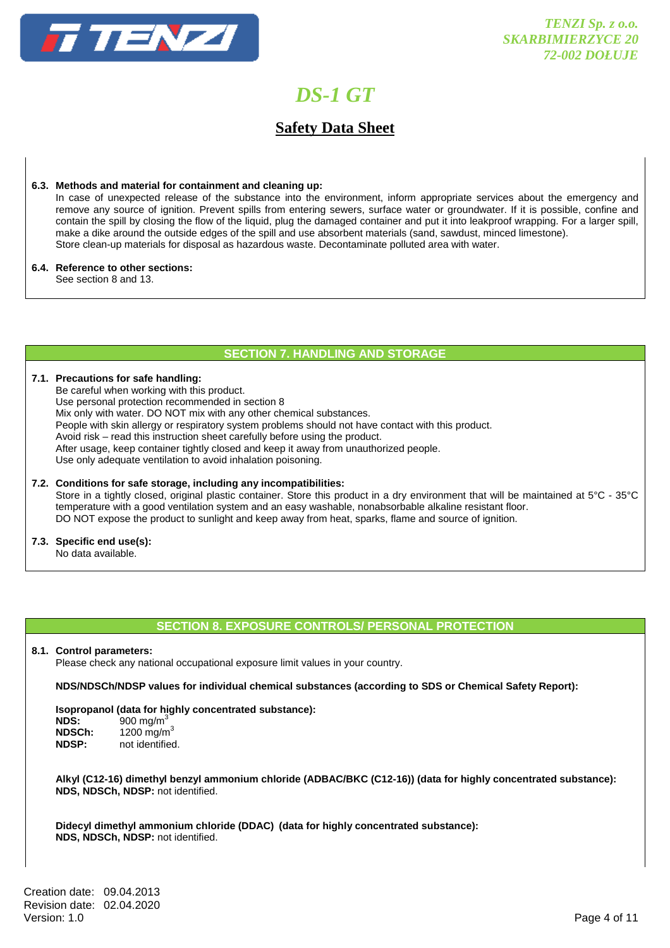

# **Safety Data Sheet**

### **6.3. Methods and material for containment and cleaning up:**

 In case of unexpected release of the substance into the environment, inform appropriate services about the emergency and remove any source of ignition. Prevent spills from entering sewers, surface water or groundwater. If it is possible, confine and contain the spill by closing the flow of the liquid, plug the damaged container and put it into leakproof wrapping. For a larger spill, make a dike around the outside edges of the spill and use absorbent materials (sand, sawdust, minced limestone). Store clean-up materials for disposal as hazardous waste. Decontaminate polluted area with water.

### **6.4. Reference to other sections:**

See section 8 and 13.

### **SECTION 7. HANDLING AND STORAGE**

#### **7.1. Precautions for safe handling:**

 Be careful when working with this product. Use personal protection recommended in section 8 Mix only with water. DO NOT mix with any other chemical substances. People with skin allergy or respiratory system problems should not have contact with this product. Avoid risk – read this instruction sheet carefully before using the product. After usage, keep container tightly closed and keep it away from unauthorized people. Use only adequate ventilation to avoid inhalation poisoning.

### **7.2. Conditions for safe storage, including any incompatibilities:** Store in a tightly closed, original plastic container. Store this product in a dry environment that will be maintained at 5°C - 35°C temperature with a good ventilation system and an easy washable, nonabsorbable alkaline resistant floor. DO NOT expose the product to sunlight and keep away from heat, sparks, flame and source of ignition.

**7.3. Specific end use(s):** 

No data available.

# **SECTION 8. EXPOSURE CONTROLS/ PERSONAL PROTECTION**

## **8.1. Control parameters:**

Please check any national occupational exposure limit values in your country.

**NDS/NDSCh/NDSP values for individual chemical substances (according to SDS or Chemical Safety Report):** 

# **Isopropanol (data for highly concentrated substance):**

| 900 mg/m $3$           |
|------------------------|
| 1200 mg/m <sup>3</sup> |
| not identified.        |
|                        |

**Alkyl (C12-16) dimethyl benzyl ammonium chloride (ADBAC/BKC (C12-16)) (data for highly concentrated substance): NDS, NDSCh, NDSP:** not identified.

 **Didecyl dimethyl ammonium chloride (DDAC) (data for highly concentrated substance): NDS, NDSCh, NDSP:** not identified.

Creation date: 09.04.2013 Revision date: 02.04.2020 Version: 1.0 Page 4 of 11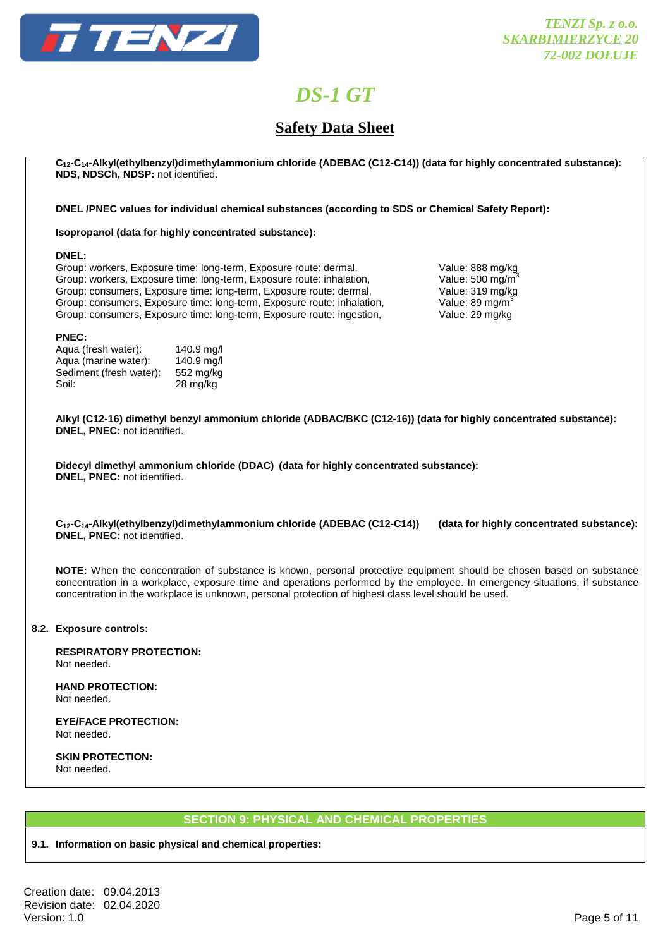

# **Safety Data Sheet**

 **C12-C14-Alkyl(ethylbenzyl)dimethylammonium chloride (ADEBAC (C12-C14)) (data for highly concentrated substance): NDS, NDSCh, NDSP:** not identified.

 **DNEL /PNEC values for individual chemical substances (according to SDS or Chemical Safety Report):** 

### **Isopropanol (data for highly concentrated substance):**

### **DNEL:**

Group: workers, Exposure time: long-term, Exposure route: dermal, Value: 888 mg/kg Group: workers, Exposure time: long-term, Exposure route: inhalation, Value: 500 mg/m<sup>3</sup><br>Group: consumers, Exposure time: long-term, Exposure route: dermal, Value: 319 mg/kg Group: consumers, Exposure time: long-term, Exposure route: dermal, Group: consumers, Exposure time: long-term, Exposure route: inhalation, Value: 89 mg/m<sup>3</sup> Group: consumers, Exposure time: long-term, Exposure route: ingestion, Value: 29 mg/kg

### **PNEC:**

| Aqua (fresh water):     | 140.9 mg/l |
|-------------------------|------------|
| Aqua (marine water):    | 140.9 mg/l |
| Sediment (fresh water): | 552 mg/kg  |
| Soil:                   | 28 mg/kg   |

**Alkyl (C12-16) dimethyl benzyl ammonium chloride (ADBAC/BKC (C12-16)) (data for highly concentrated substance): DNEL, PNEC:** not identified.

 **Didecyl dimethyl ammonium chloride (DDAC) (data for highly concentrated substance): DNEL, PNEC:** not identified.

 **C12-C14-Alkyl(ethylbenzyl)dimethylammonium chloride (ADEBAC (C12-C14)) (data for highly concentrated substance): DNEL, PNEC:** not identified.

**NOTE:** When the concentration of substance is known, personal protective equipment should be chosen based on substance concentration in a workplace, exposure time and operations performed by the employee. In emergency situations, if substance concentration in the workplace is unknown, personal protection of highest class level should be used.

## **8.2. Exposure controls:**

 **RESPIRATORY PROTECTION:**  Not needed.

 **HAND PROTECTION:**  Not needed.

 **EYE/FACE PROTECTION:**  Not needed.

 **SKIN PROTECTION:**  Not needed.

# **SECTION 9: PHYSICAL AND CHEMICAL PROPERTIES**

## **9.1. Information on basic physical and chemical properties:**

Creation date: 09.04.2013 Revision date: 02.04.2020 Version: 1.0 Page 5 of 11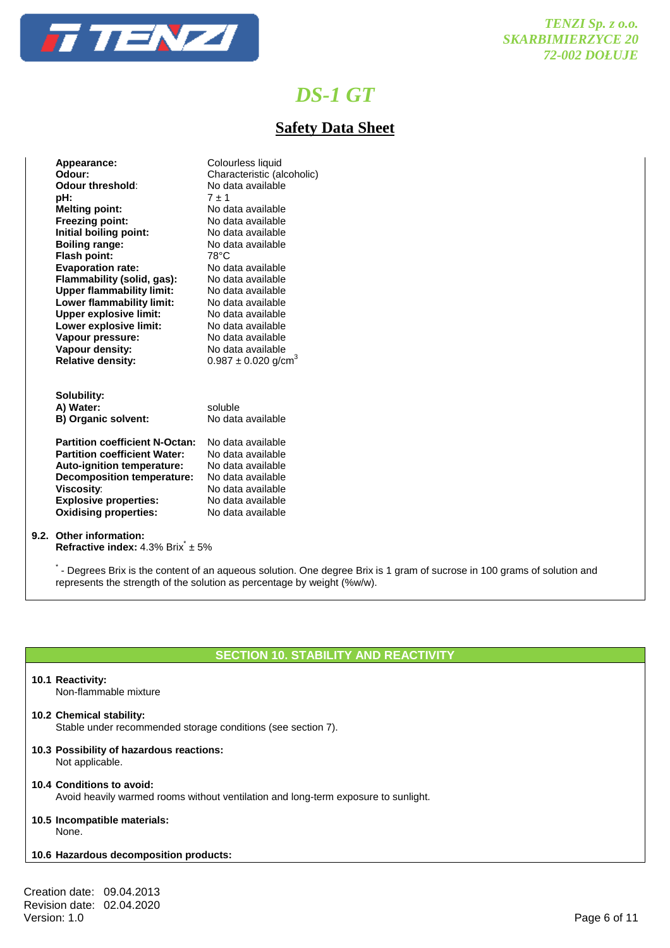

# **Safety Data Sheet**

| Appearance:                           | Colourless liquid                   |
|---------------------------------------|-------------------------------------|
| Odour:                                | Characteristic (alcoholic)          |
| Odour threshold:                      | No data available                   |
| pH:                                   | $7 + 1$                             |
| <b>Melting point:</b>                 | No data available                   |
| <b>Freezing point:</b>                | No data available                   |
| Initial boiling point:                | No data available                   |
| <b>Boiling range:</b>                 | No data available                   |
| Flash point:                          | 78°C                                |
| <b>Evaporation rate:</b>              | No data available                   |
| Flammability (solid, gas):            | No data available                   |
| <b>Upper flammability limit:</b>      | No data available                   |
| Lower flammability limit:             | No data available                   |
| <b>Upper explosive limit:</b>         | No data available                   |
| Lower explosive limit:                | No data available                   |
| Vapour pressure:                      | No data available                   |
| Vapour density:                       | No data available                   |
| <b>Relative density:</b>              | $0.987 \pm 0.020$ g/cm <sup>3</sup> |
|                                       |                                     |
|                                       |                                     |
| Solubility:                           |                                     |
| A) Water:                             | soluble                             |
| <b>B) Organic solvent:</b>            | No data available                   |
|                                       |                                     |
| <b>Partition coefficient N-Octan:</b> | No data available                   |
| <b>Partition coefficient Water:</b>   | No data available                   |
| Auto-ignition temperature:            | No data available                   |
| <b>Decomposition temperature:</b>     | No data available                   |
| <b>Viscosity:</b>                     | No data available                   |
| <b>Explosive properties:</b>          | No data available                   |
| <b>Oxidising properties:</b>          | No data available                   |

### **9.2. Other information:**

**Refractive index:** 4.3% Brix<sup>\*</sup> ± 5%

\*- Degrees Brix is the content of an aqueous solution. One degree Brix is 1 gram of sucrose in 100 grams of solution and represents the strength of the solution as percentage by weight (%w/w).

# **SECTION 10. STABILITY AND REACTIVITY**

### **10.1 Reactivity:**

Non-flammable mixture

### **10.2 Chemical stability:**

Stable under recommended storage conditions (see section 7).

#### **10.3 Possibility of hazardous reactions:** Not applicable.

## **10.4 Conditions to avoid:**

Avoid heavily warmed rooms without ventilation and long-term exposure to sunlight.

#### **10.5 Incompatible materials:** None.

## **10.6 Hazardous decomposition products:**

Creation date: 09.04.2013 Revision date: 02.04.2020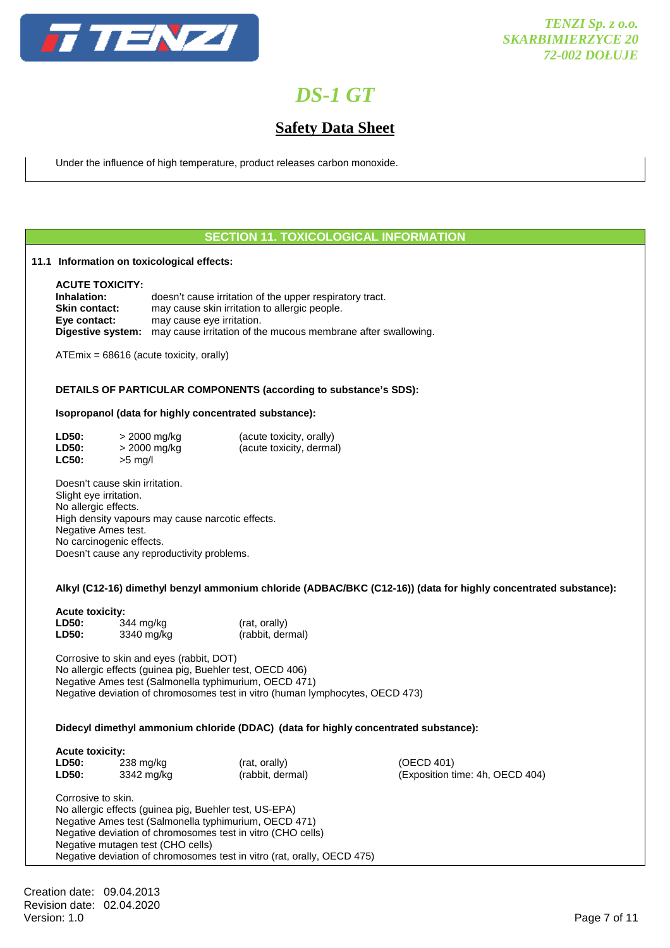

# **Safety Data Sheet**

Under the influence of high temperature, product releases carbon monoxide.

## **SECTION 11. TOXICOLOGICAL INFORMATION**

### **11.1 Information on toxicological effects:**

 **ACUTE TOXICITY: Inhalation:** doesn't cause irritation of the upper respiratory tract. **Skin contact:** may cause skin irritation to allergic people. **Eye contact:** may cause eye irritation.  **Digestive system:** may cause irritation of the mucous membrane after swallowing.

ATEmix = 68616 (acute toxicity, orally)

### **DETAILS OF PARTICULAR COMPONENTS (according to substance's SDS):**

### **Isopropanol (data for highly concentrated substance):**

| <b>LD50:</b> | > 2000 mg/kg | (acute toxicity, orally) |
|--------------|--------------|--------------------------|
| LD50:        | > 2000 mg/kg | (acute toxicity, dermal) |
| <b>LC50:</b> | $>5$ mg/l    |                          |

 Doesn't cause skin irritation. Slight eye irritation. No allergic effects. High density vapours may cause narcotic effects. Negative Ames test. No carcinogenic effects. Doesn't cause any reproductivity problems.

### **Alkyl (C12-16) dimethyl benzyl ammonium chloride (ADBAC/BKC (C12-16)) (data for highly concentrated substance):**

| <b>Acute toxicity:</b> |            |                  |
|------------------------|------------|------------------|
| LD50:                  | 344 mg/kg  | (rat, orally)    |
| LD50:                  | 3340 mg/kg | (rabbit, dermal) |

 Corrosive to skin and eyes (rabbit, DOT) No allergic effects (guinea pig, Buehler test, OECD 406) Negative Ames test (Salmonella typhimurium, OECD 471) Negative deviation of chromosomes test in vitro (human lymphocytes, OECD 473)

### **Didecyl dimethyl ammonium chloride (DDAC) (data for highly concentrated substance):**

| <b>AGULT LOAIGILY.</b> |            |                  |                                 |
|------------------------|------------|------------------|---------------------------------|
| <b>LD50:</b>           | 238 mg/kg  | (rat. orally)    | (OECD 401)                      |
| LD50:                  | 3342 mg/kg | (rabbit, dermal) | (Exposition time: 4h, OECD 404) |

 Corrosive to skin. No allergic effects (guinea pig, Buehler test, US-EPA) Negative Ames test (Salmonella typhimurium, OECD 471) Negative deviation of chromosomes test in vitro (CHO cells) Negative mutagen test (CHO cells) Negative deviation of chromosomes test in vitro (rat, orally, OECD 475)

Creation date: 09.04.2013 Revision date: 02.04.2020 Version: 1.0 Page 7 of 11

 **Acute toxicity:**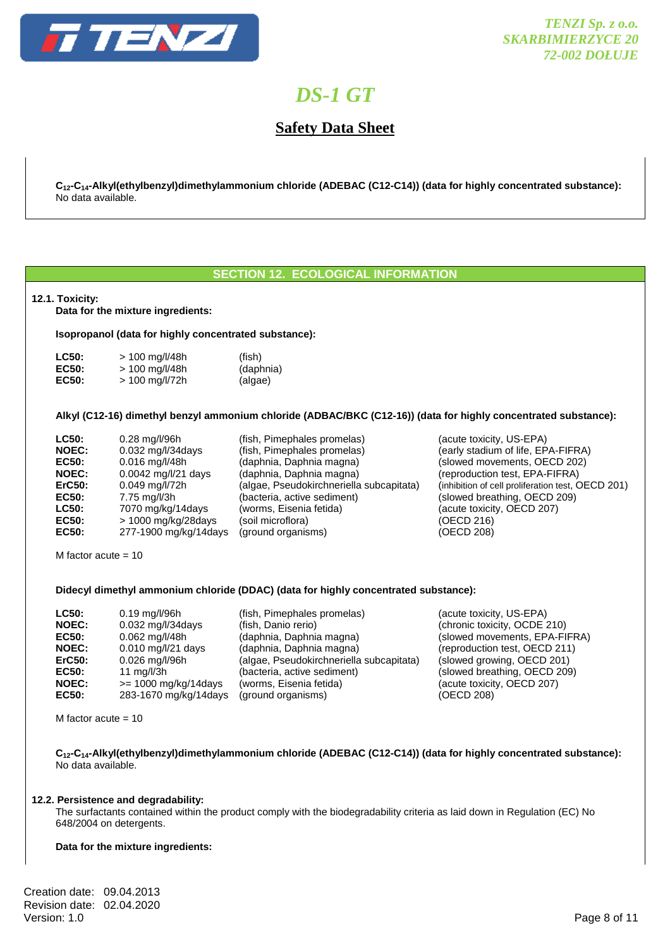

# **Safety Data Sheet**

 **C12-C14-Alkyl(ethylbenzyl)dimethylammonium chloride (ADEBAC (C12-C14)) (data for highly concentrated substance):** No data available.

## **SECTION 12. ECOLOGICAL INFORMATION**

### **12.1. Toxicity:**

**Data for the mixture ingredients:** 

 **Isopropanol (data for highly concentrated substance):** 

| <b>LC50:</b> | $> 100$ mg/l/48h | (fish)    |
|--------------|------------------|-----------|
| <b>EC50:</b> | $> 100$ mg/l/48h | (daphnia) |
| <b>EC50:</b> | $> 100$ mg/l/72h | (algae)   |

 **Alkyl (C12-16) dimethyl benzyl ammonium chloride (ADBAC/BKC (C12-16)) (data for highly concentrated substance):** 

| <b>LC50:</b>  | 0.28 mg/l/96h         | (fish, Pimephales promelas)             |
|---------------|-----------------------|-----------------------------------------|
| <b>NOEC:</b>  | 0.032 mg/l/34days     | (fish, Pimephales promelas)             |
| <b>EC50:</b>  | $0.016$ mg/l/48h      | (daphnia, Daphnia magna)                |
| <b>NOEC:</b>  | 0.0042 mg/l/21 days   | (daphnia, Daphnia magna)                |
| <b>ErC50:</b> | 0.049 mg/l/72h        | (algae, Pseudokirchneriella subcapitata |
| <b>EC50:</b>  | 7.75 mg/l/3h          | (bacteria, active sediment)             |
| LC50:         | 7070 mg/kg/14days     | (worms, Eisenia fetida)                 |
| EC50:         | > 1000 mg/kg/28days   | (soil microflora)                       |
| <b>EC50:</b>  | 277-1900 mg/kg/14days | (ground organisms)                      |
|               |                       |                                         |

(acute toxicity, US-EPA) (early stadium of life, EPA-FIFRA) (slowed movements, OECD 202) (reproduction test, EPA-FIFRA) a) (inhibition of cell proliferation test, OECD 201)  $(s$ lowed breathing, OECD 209) (acute toxicity, OECD 207) **(OECD 216) EC50:** 277-1900 mg/kg/14days (ground organisms) (OECD 208)

> (acute toxicity, US-EPA) (chronic toxicity, OCDE 210) (slowed movements, EPA-FIFRA) (reproduction test, OECD 211)  $(s$ lowed growing, OECD 201) **(slowed breathing, OECD 209)** (acute toxicity, OECD 207)

 $(OECD 208)$ 

M factor acute  $= 10$ 

### **Didecyl dimethyl ammonium chloride (DDAC) (data for highly concentrated substance):**

| $0.19$ mg/l/96h        | (fish, Pimephales promelas)              |
|------------------------|------------------------------------------|
| 0.032 mg/l/34days      | (fish, Danio rerio)                      |
| $0.062$ mg/l/48h       | (daphnia, Daphnia magna)                 |
| 0.010 mg/l/21 days     | (daphnia, Daphnia magna)                 |
| 0.026 mg/l/96h         | (algae, Pseudokirchneriella subcapitata) |
| 11 $mq/l/3h$           | (bacteria, active sediment)              |
| $>= 1000$ mg/kg/14days | (worms, Eisenia fetida)                  |
| 283-1670 mg/kg/14days  | (ground organisms)                       |
|                        |                                          |

M factor acute  $= 10$ 

 **C12-C14-Alkyl(ethylbenzyl)dimethylammonium chloride (ADEBAC (C12-C14)) (data for highly concentrated substance):**  No data available.

### **12.2. Persistence and degradability:**

 The surfactants contained within the product comply with the biodegradability criteria as laid down in Regulation (EC) No 648/2004 on detergents.

### **Data for the mixture ingredients:**

Creation date: 09.04.2013 Revision date: 02.04.2020 Version: 1.0 Page 8 of 11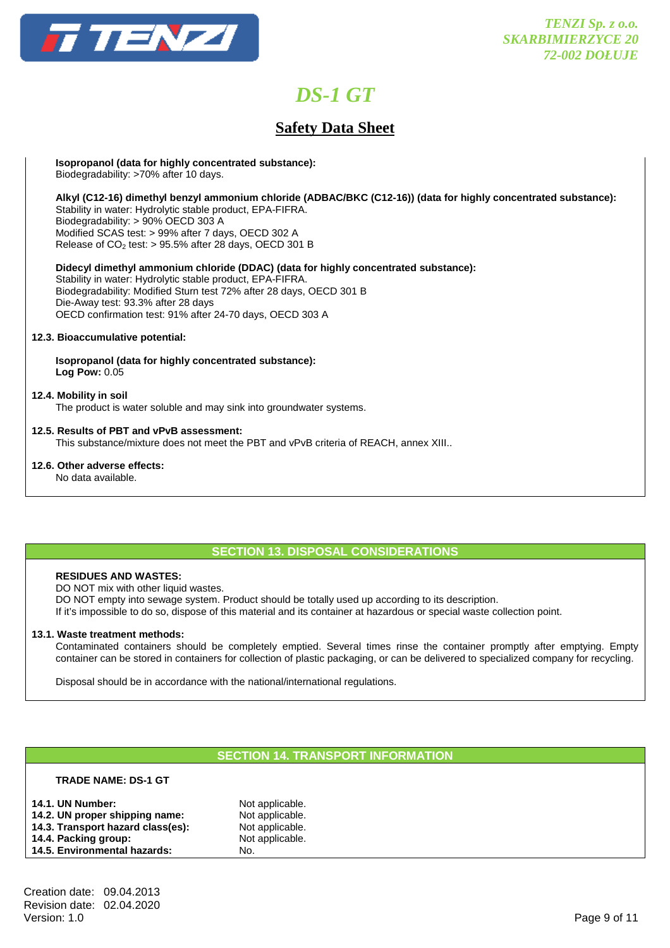

# **Safety Data Sheet**

**Isopropanol (data for highly concentrated substance):** 

Biodegradability: >70% after 10 days.

**Alkyl (C12-16) dimethyl benzyl ammonium chloride (ADBAC/BKC (C12-16)) (data for highly concentrated substance):** 

 Stability in water: Hydrolytic stable product, EPA-FIFRA. Biodegradability: > 90% OECD 303 A Modified SCAS test: > 99% after 7 days, OECD 302 A Release of  $CO<sub>2</sub>$  test: > 95.5% after 28 days, OECD 301 B

 **Didecyl dimethyl ammonium chloride (DDAC) (data for highly concentrated substance):** 

 Stability in water: Hydrolytic stable product, EPA-FIFRA. Biodegradability: Modified Sturn test 72% after 28 days, OECD 301 B Die-Away test: 93.3% after 28 days OECD confirmation test: 91% after 24-70 days, OECD 303 A

## **12.3. Bioaccumulative potential:**

 **Isopropanol (data for highly concentrated substance): Log Pow:** 0.05

## **12.4. Mobility in soil**

The product is water soluble and may sink into groundwater systems.

## **12.5. Results of PBT and vPvB assessment:**

This substance/mixture does not meet the PBT and vPvB criteria of REACH, annex XIII..

## **12.6. Other adverse effects:**

No data available.

# **SECTION 13. DISPOSAL CONSIDERATIONS**

## **RESIDUES AND WASTES:**

DO NOT mix with other liquid wastes.

DO NOT empty into sewage system. Product should be totally used up according to its description.

If it's impossible to do so, dispose of this material and its container at hazardous or special waste collection point.

### **13.1. Waste treatment methods:**

 Contaminated containers should be completely emptied. Several times rinse the container promptly after emptying. Empty container can be stored in containers for collection of plastic packaging, or can be delivered to specialized company for recycling.

Disposal should be in accordance with the national/international regulations.

# **SECTION 14. TRANSPORT INFORMATION**

### **TRADE NAME: DS-1 GT**

| <b>14.1. UN Number:</b>           | Not applicable. |
|-----------------------------------|-----------------|
| 14.2. UN proper shipping name:    | Not applicable. |
| 14.3. Transport hazard class(es): | Not applicable. |
| 14.4. Packing group:              | Not applicable. |
| 14.5. Environmental hazards:      | No.             |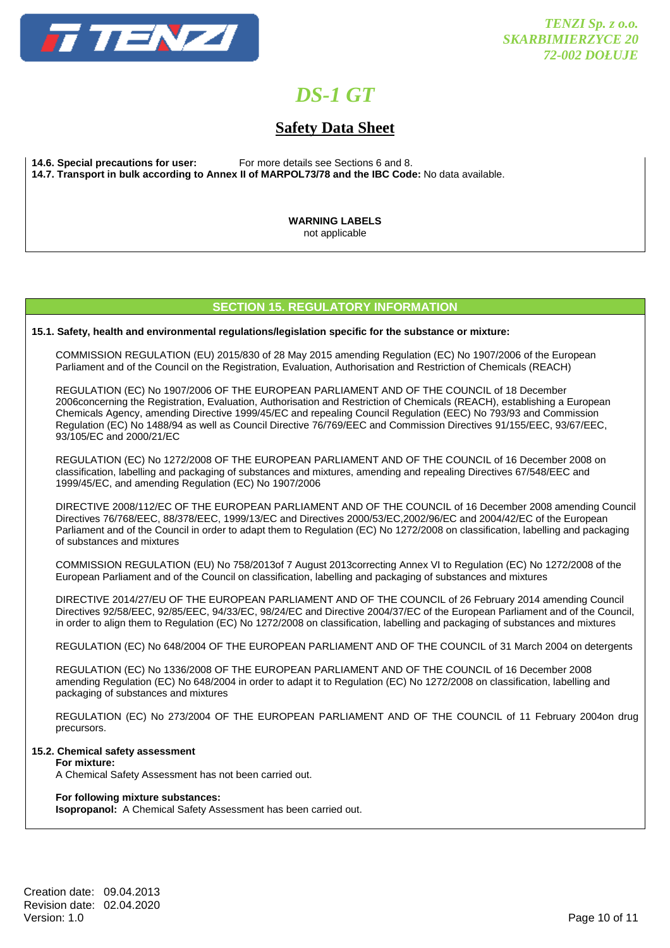

# **Safety Data Sheet**

**14.6. Special precautions for user:** For more details see Sections 6 and 8. **14.7. Transport in bulk according to Annex II of MARPOL73/78 and the IBC Code:** No data available.

> **WARNING LABELS** not applicable

## **SECTION 15. REGULATORY INFORMATION**

**15.1. Safety, health and environmental regulations/legislation specific for the substance or mixture:** 

COMMISSION REGULATION (EU) 2015/830 of 28 May 2015 amending Regulation (EC) No 1907/2006 of the European Parliament and of the Council on the Registration, Evaluation, Authorisation and Restriction of Chemicals (REACH)

 REGULATION (EC) No 1907/2006 OF THE EUROPEAN PARLIAMENT AND OF THE COUNCIL of 18 December 2006concerning the Registration, Evaluation, Authorisation and Restriction of Chemicals (REACH), establishing a European Chemicals Agency, amending Directive 1999/45/EC and repealing Council Regulation (EEC) No 793/93 and Commission Regulation (EC) No 1488/94 as well as Council Directive 76/769/EEC and Commission Directives 91/155/EEC, 93/67/EEC, 93/105/EC and 2000/21/EC

 REGULATION (EC) No 1272/2008 OF THE EUROPEAN PARLIAMENT AND OF THE COUNCIL of 16 December 2008 on classification, labelling and packaging of substances and mixtures, amending and repealing Directives 67/548/EEC and 1999/45/EC, and amending Regulation (EC) No 1907/2006

 DIRECTIVE 2008/112/EC OF THE EUROPEAN PARLIAMENT AND OF THE COUNCIL of 16 December 2008 amending Council Directives 76/768/EEC, 88/378/EEC, 1999/13/EC and Directives 2000/53/EC,2002/96/EC and 2004/42/EC of the European Parliament and of the Council in order to adapt them to Regulation (EC) No 1272/2008 on classification, labelling and packaging of substances and mixtures

 COMMISSION REGULATION (EU) No 758/2013of 7 August 2013correcting Annex VI to Regulation (EC) No 1272/2008 of the European Parliament and of the Council on classification, labelling and packaging of substances and mixtures

 DIRECTIVE 2014/27/EU OF THE EUROPEAN PARLIAMENT AND OF THE COUNCIL of 26 February 2014 amending Council Directives 92/58/EEC, 92/85/EEC, 94/33/EC, 98/24/EC and Directive 2004/37/EC of the European Parliament and of the Council, in order to align them to Regulation (EC) No 1272/2008 on classification, labelling and packaging of substances and mixtures

REGULATION (EC) No 648/2004 OF THE EUROPEAN PARLIAMENT AND OF THE COUNCIL of 31 March 2004 on detergents

 REGULATION (EC) No 1336/2008 OF THE EUROPEAN PARLIAMENT AND OF THE COUNCIL of 16 December 2008 amending Regulation (EC) No 648/2004 in order to adapt it to Regulation (EC) No 1272/2008 on classification, labelling and packaging of substances and mixtures

 REGULATION (EC) No 273/2004 OF THE EUROPEAN PARLIAMENT AND OF THE COUNCIL of 11 February 2004on drug precursors.

#### **15.2. Chemical safety assessment For mixture:**

A Chemical Safety Assessment has not been carried out.

### **For following mixture substances:**

**Isopropanol:** A Chemical Safety Assessment has been carried out.

Creation date: 09.04.2013 Revision date: 02.04.2020